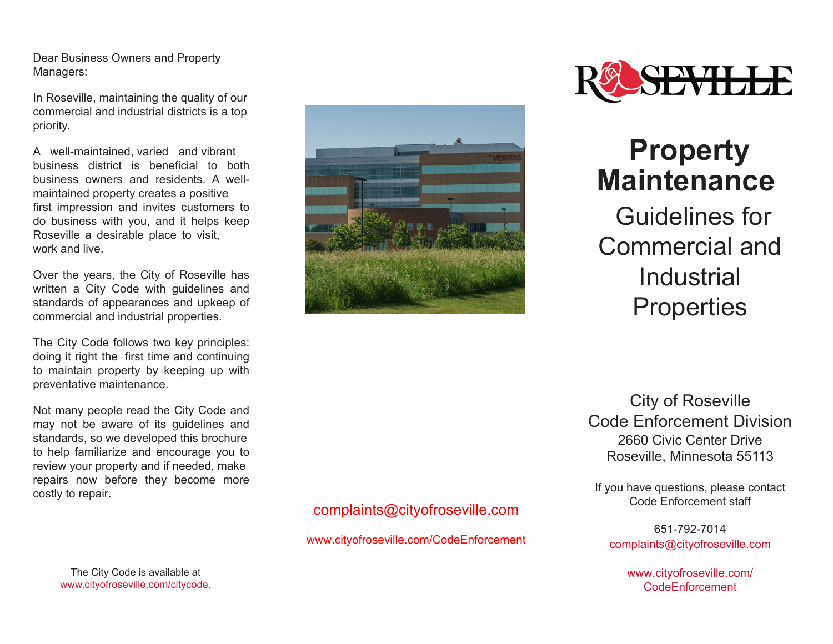Dear Business Owners and Property Managers:

In Roseville, maintaining the quality of our commercial and industrial districts is a top priority.

A well-maintained, varied and vibrant business district is beneficial to both business owners and residents. A wellmaintained property creates a positive first impression and invites customers to do business with you, and it helps keep Roseville a desirable place to visit, work and live.

Over the years, the City of Roseville has written a City Code with guidelines and standards of appearances and upkeep of commercial and industrial properties.

The City Code follows two key principles: doing it right the first time and continuing to maintain property by keeping up with preventative maintenance.

Not many people read the City Code and may not be aware of its guidelines and standards, so we developed this brochure to help familiarize and encourage you to review your property and if needed, make repairs now before they become more costly to repair.

> The City Code is available at www.cityofroseville.com/citycode.





## **Property Maintenance**

 Guidelines for Commercial and **Industrial Properties** 

City of Roseville Code Enforcement Division 2660 Civic Center Drive Roseville, Minnesota 55113

If you have questions, please contact Code Enforcement staff

651-792-7014 complaints@cityofroseville.com

> www.cityofroseville.com/ CodeEnforcement

#### complaints@cityofroseville.com

www.cityofroseville.com/CodeEnforcement